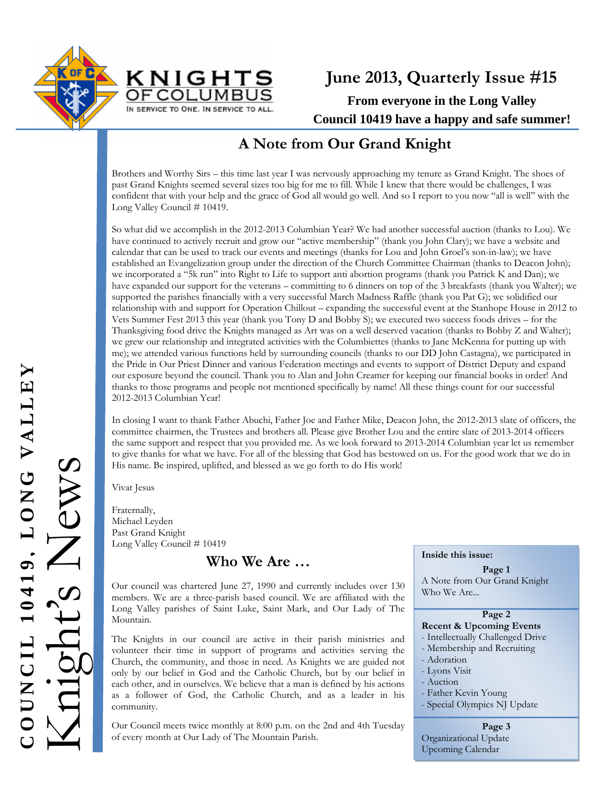



## **A Note from Our Grand Knight**

Brothers and Worthy Sirs – this time last year I was nervously approaching my tenure as Grand Knight. The shoes of past Grand Knights seemed several sizes too big for me to fill. While I knew that there would be challenges, I was confident that with your help and the grace of God all would go well. And so I report to you now "all is well" with the Long Valley Council # 10419.

So what did we accomplish in the 2012-2013 Columbian Year? We had another successful auction (thanks to Lou). We have continued to actively recruit and grow our "active membership" (thank you John Clary); we have a website and calendar that can be used to track our events and meetings (thanks for Lou and John Groel's son-in-law); we have established an Evangelization group under the direction of the Church Committee Chairman (thanks to Deacon John); we incorporated a "5k run" into Right to Life to support anti abortion programs (thank you Patrick K and Dan); we have expanded our support for the veterans – committing to 6 dinners on top of the 3 breakfasts (thank you Walter); we supported the parishes financially with a very successful March Madness Raffle (thank you Pat G); we solidified our relationship with and support for Operation Chillout – expanding the successful event at the Stanhope House in 2012 to Vets Summer Fest 2013 this year (thank you Tony D and Bobby S); we executed two success foods drives – for the Thanksgiving food drive the Knights managed as Art was on a well deserved vacation (thanks to Bobby Z and Walter); we grew our relationship and integrated activities with the Columbiettes (thanks to Jane McKenna for putting up with me); we attended various functions held by surrounding councils (thanks to our DD John Castagna), we participated in the Pride in Our Priest Dinner and various Federation meetings and events to support of District Deputy and expand our exposure beyond the council. Thank you to Alan and John Creamer for keeping our financial books in order! And thanks to those programs and people not mentioned specifically by name! All these things count for our successful 2012-2013 Columbian Year!

In closing I want to thank Father Abuchi, Father Joe and Father Mike, Deacon John, the 2012-2013 slate of officers, the committee chairmen, the Trustees and brothers all. Please give Brother Lou and the entire slate of 2013-2014 officers the same support and respect that you provided me. As we look forward to 2013-2014 Columbian year let us remember to give thanks for what we have. For all of the blessing that God has bestowed on us. For the good work that we do in His name. Be inspired, uplifted, and blessed as we go forth to do His work!

Vivat Jesus

Fraternally, Michael Leyden Past Grand Knight Long Valley Council # 10419

**Who We Are …**

Our council was chartered June 27, 1990 and currently includes over 130 members. We are a three-parish based council. We are affiliated with the Long Valley parishes of Saint Luke, Saint Mark, and Our Lady of The Mountain.

The Knights in our council are active in their parish ministries and volunteer their time in support of programs and activities serving the Church, the community, and those in need. As Knights we are guided not only by our belief in God and the Catholic Church, but by our belief in each other, and in ourselves. We believe that a man is defined by his actions as a follower of God, the Catholic Church, and as a leader in his community.

Our Council meets twice monthly at 8:00 p.m. on the 2nd and 4th Tuesday of every month at Our Lady of The Mountain Parish.

#### **Inside this issue:**

**Page 1**  A Note from Our Grand Knight Who We Are...

#### **Page 2**

#### **Recent & Upcoming Events**

- Intellectually Challenged Drive
- Membership and Recruiting
- Adoration
- Lyons Visit - Auction
- 
- Father Kevin Young
- Special Olympics NJ Update

**Page 3**  Organizational Update Upcoming Calendar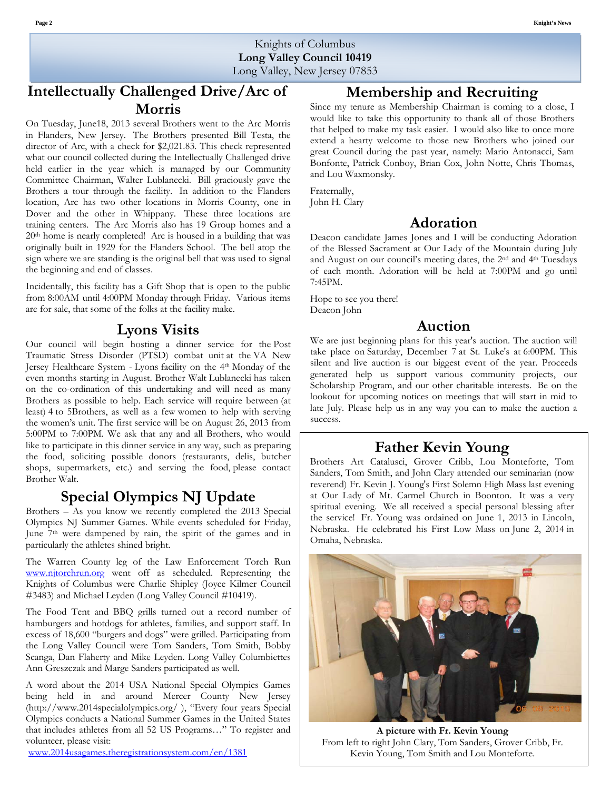Knights of Columbus **Long Valley Council 10419**  Long Valley, New Jersey 07853

## **Intellectually Challenged Drive/Arc of Morris**

On Tuesday, June18, 2013 several Brothers went to the Arc Morris in Flanders, New Jersey. The Brothers presented Bill Testa, the director of Arc, with a check for \$2,021.83. This check represented what our council collected during the Intellectually Challenged drive held earlier in the year which is managed by our Community Committee Chairman, Walter Lublanecki. Bill graciously gave the Brothers a tour through the facility. In addition to the Flanders location, Arc has two other locations in Morris County, one in Dover and the other in Whippany. These three locations are training centers. The Arc Morris also has 19 Group homes and a 20th home is nearly completed! Arc is housed in a building that was originally built in 1929 for the Flanders School. The bell atop the sign where we are standing is the original bell that was used to signal the beginning and end of classes.

Incidentally, this facility has a Gift Shop that is open to the public from 8:00AM until 4:00PM Monday through Friday. Various items are for sale, that some of the folks at the facility make.

#### **Lyons Visits**

Our council will begin hosting a dinner service for the Post Traumatic Stress Disorder (PTSD) combat unit at the VA New Jersey Healthcare System - Lyons facility on the 4th Monday of the even months starting in August. Brother Walt Lublanecki has taken on the co-ordination of this undertaking and will need as many Brothers as possible to help. Each service will require between (at least) 4 to 5Brothers, as well as a few women to help with serving the women's unit. The first service will be on August 26, 2013 from 5:00PM to 7:00PM. We ask that any and all Brothers, who would like to participate in this dinner service in any way, such as preparing the food, soliciting possible donors (restaurants, delis, butcher shops, supermarkets, etc.) and serving the food, please contact Brother Walt.

#### **Special Olympics NJ Update**

Brothers – As you know we recently completed the 2013 Special Olympics NJ Summer Games. While events scheduled for Friday, June 7<sup>th</sup> were dampened by rain, the spirit of the games and in particularly the athletes shined bright.

The Warren County leg of the Law Enforcement Torch Run www.njtorchrun.org went off as scheduled. Representing the Knights of Columbus were Charlie Shipley (Joyce Kilmer Council #3483) and Michael Leyden (Long Valley Council #10419).

The Food Tent and BBQ grills turned out a record number of hamburgers and hotdogs for athletes, families, and support staff. In excess of 18,600 "burgers and dogs" were grilled. Participating from the Long Valley Council were Tom Sanders, Tom Smith, Bobby Scanga, Dan Flaherty and Mike Leyden. Long Valley Columbiettes Ann Greszczak and Marge Sanders participated as well.

A word about the 2014 USA National Special Olympics Games being held in and around Mercer County New Jersey (http://www.2014specialolympics.org/ ), "Every four years Special Olympics conducts a National Summer Games in the United States that includes athletes from all 52 US Programs…" To register and volunteer, please visit:

www.2014usagames.theregistrationsystem.com/en/1381

#### **Membership and Recruiting**

Since my tenure as Membership Chairman is coming to a close, I would like to take this opportunity to thank all of those Brothers that helped to make my task easier. I would also like to once more extend a hearty welcome to those new Brothers who joined our great Council during the past year, namely: Mario Antonacci, Sam Bonfonte, Patrick Conboy, Brian Cox, John Notte, Chris Thomas, and Lou Waxmonsky.

Fraternally, John H. Clary

#### **Adoration**

Deacon candidate James Jones and I will be conducting Adoration of the Blessed Sacrament at Our Lady of the Mountain during July and August on our council's meeting dates, the 2nd and 4th Tuesdays of each month. Adoration will be held at 7:00PM and go until 7:45PM.

Hope to see you there! Deacon John

### **Auction**

We are just beginning plans for this year's auction. The auction will take place on Saturday, December 7 at St. Luke's at 6:00PM. This silent and live auction is our biggest event of the year. Proceeds generated help us support various community projects, our Scholarship Program, and our other charitable interests. Be on the lookout for upcoming notices on meetings that will start in mid to late July. Please help us in any way you can to make the auction a success.

### **Father Kevin Young**

Brothers Art Catalusci, Grover Cribb, Lou Monteforte, Tom Sanders, Tom Smith, and John Clary attended our seminarian (now reverend) Fr. Kevin J. Young's First Solemn High Mass last evening at Our Lady of Mt. Carmel Church in Boonton. It was a very spiritual evening. We all received a special personal blessing after the service! Fr. Young was ordained on June 1, 2013 in Lincoln, Nebraska. He celebrated his First Low Mass on June 2, 2014 in Omaha, Nebraska.



**A picture with Fr. Kevin Young** From left to right John Clary, Tom Sanders, Grover Cribb, Fr. Kevin Young, Tom Smith and Lou Monteforte.